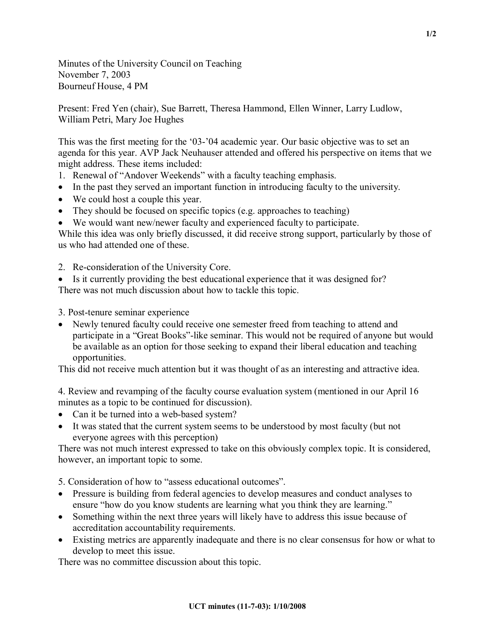Minutes of the University Council on Teaching November 7, 2003 Bourneuf House, 4 PM

Present: Fred Yen (chair), Sue Barrett, Theresa Hammond, Ellen Winner, Larry Ludlow, William Petri, Mary Joe Hughes

This was the first meeting for the '03-'04 academic year. Our basic objective was to set an agenda for this year. AVP Jack Neuhauser attended and offered his perspective on items that we might address. These items included:

- 1. Renewal of "Andover Weekends" with a faculty teaching emphasis.
- In the past they served an important function in introducing faculty to the university.
- We could host a couple this year.
- They should be focused on specific topics (e.g. approaches to teaching)
- · We would want new/newer faculty and experienced faculty to participate.

While this idea was only briefly discussed, it did receive strong support, particularly by those of us who had attended one of these.

- 2. Re-consideration of the University Core.
- Is it currently providing the best educational experience that it was designed for?

There was not much discussion about how to tackle this topic.

- 3. Post-tenure seminar experience
- · Newly tenured faculty could receive one semester freed from teaching to attend and participate in a "Great Books"-like seminar. This would not be required of anyone but would be available as an option for those seeking to expand their liberal education and teaching opportunities.

This did not receive much attention but it was thought of as an interesting and attractive idea.

4. Review and revamping of the faculty course evaluation system (mentioned in our April 16 minutes as a topic to be continued for discussion).

- Can it be turned into a web-based system?
- It was stated that the current system seems to be understood by most faculty (but not everyone agrees with this perception)

There was not much interest expressed to take on this obviously complex topic. It is considered, however, an important topic to some.

5. Consideration of how to "assess educational outcomes".

- · Pressure is building from federal agencies to develop measures and conduct analyses to ensure "how do you know students are learning what you think they are learning."
- Something within the next three years will likely have to address this issue because of accreditation accountability requirements.
- Existing metrics are apparently inadequate and there is no clear consensus for how or what to develop to meet this issue.

There was no committee discussion about this topic.